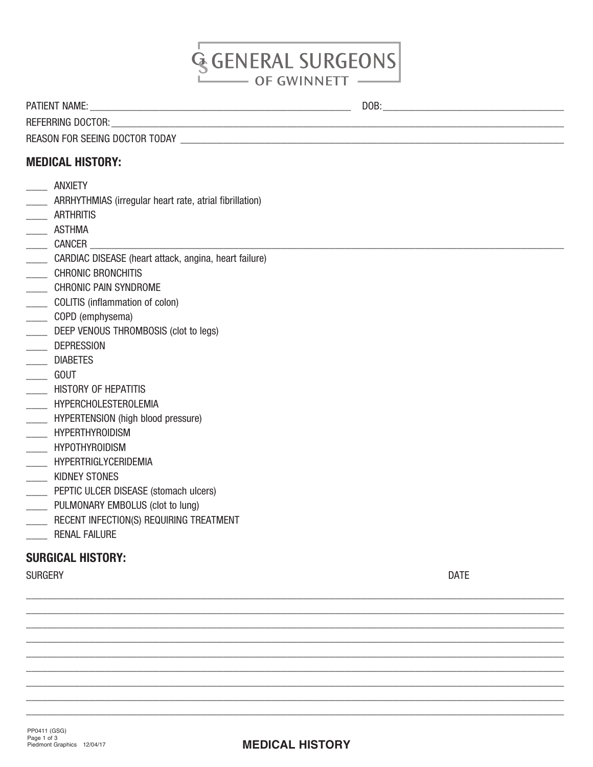# **GGENERAL SURGEONS** OF GWINNETT

PATIENT NAME: \_\_\_\_\_\_\_\_\_\_\_\_\_\_\_\_\_\_\_\_\_\_\_\_\_\_\_\_\_\_\_\_\_\_\_\_\_\_\_\_\_\_\_\_\_\_\_\_\_ DOB:\_\_\_\_\_\_\_\_\_\_\_\_\_\_\_\_\_\_\_\_\_\_\_\_\_\_\_\_\_\_\_\_\_\_

REFERRING DOCTOR:

REASON FOR SEEING DOCTOR TODAY \_\_\_\_\_\_\_\_\_\_\_\_\_\_\_\_\_\_\_\_\_\_\_\_\_\_\_\_\_\_\_\_\_\_\_\_\_\_\_\_\_\_\_\_\_\_\_\_\_\_\_\_\_\_\_\_\_\_\_\_\_\_\_\_\_\_\_\_\_\_\_\_

# MEDICAL HISTORY:

- \_\_\_\_ ANXIETY
- \_\_\_\_ ARRHYTHMIAS (irregular heart rate, atrial fibrillation)
- \_\_\_\_ ARTHRITIS
- \_\_\_\_ ASTHMA
- $\begin{array}{c}\n\ldots \\
\hline\n\end{array}$  CANCER
- \_\_\_\_ CARDIAC DISEASE (heart attack, angina, heart failure)
- \_\_\_\_ CHRONIC BRONCHITIS
- \_\_\_\_\_ CHRONIC PAIN SYNDROME
- \_\_\_\_ COLITIS (inflammation of colon)
- \_\_\_\_ COPD (emphysema)
- DEEP VENOUS THROMBOSIS (clot to legs)
- L**LEADER**<br>LEADER DEPRESSION
- \_\_\_\_ DIABETES
- \_\_\_\_ GOUT
- **\_\_\_\_\_\_** HISTORY OF HEPATITIS
- \_\_\_\_\_ HYPERCHOLESTEROLEMIA
- \_\_\_\_ HYPERTENSION (high blood pressure)
- \_\_\_\_ HYPERTHYROIDISM
- \_\_\_\_ HYPOTHYROIDISM
- \_\_\_\_ HYPERTRIGLYCERIDEMIA
- \_\_\_\_ KIDNEY STONES
- **\_\_\_\_\_ PEPTIC ULCER DISEASE (stomach ulcers)**
- \_\_\_\_ PULMONARY EMBOLUS (clot to lung)
- \_\_\_\_\_ RECENT INFECTION(S) REQUIRING TREATMENT
- \_\_\_\_\_\_ RENAL FAILURE

### SURGICAL HISTORY:

SURGERY DATE AND SURGERY DATE AND SURGERY AND SURGERY DATE AND SURGERY AND SURGERY AND SURGERY AND SURGERY AND  $\mathsf{DATE}$ 

\_\_\_\_\_\_\_\_\_\_\_\_\_\_\_\_\_\_\_\_\_\_\_\_\_\_\_\_\_\_\_\_\_\_\_\_\_\_\_\_\_\_\_\_\_\_\_\_\_\_\_\_\_\_\_\_\_\_\_\_\_\_\_\_\_\_\_\_\_\_\_\_\_\_\_\_\_\_\_\_\_\_\_\_\_\_\_\_\_\_\_\_\_\_\_\_\_\_\_\_\_ \_\_\_\_\_\_\_\_\_\_\_\_\_\_\_\_\_\_\_\_\_\_\_\_\_\_\_\_\_\_\_\_\_\_\_\_\_\_\_\_\_\_\_\_\_\_\_\_\_\_\_\_\_\_\_\_\_\_\_\_\_\_\_\_\_\_\_\_\_\_\_\_\_\_\_\_\_\_\_\_\_\_\_\_\_\_\_\_\_\_\_\_\_\_\_\_\_\_\_\_\_ \_\_\_\_\_\_\_\_\_\_\_\_\_\_\_\_\_\_\_\_\_\_\_\_\_\_\_\_\_\_\_\_\_\_\_\_\_\_\_\_\_\_\_\_\_\_\_\_\_\_\_\_\_\_\_\_\_\_\_\_\_\_\_\_\_\_\_\_\_\_\_\_\_\_\_\_\_\_\_\_\_\_\_\_\_\_\_\_\_\_\_\_\_\_\_\_\_\_\_\_\_ \_\_\_\_\_\_\_\_\_\_\_\_\_\_\_\_\_\_\_\_\_\_\_\_\_\_\_\_\_\_\_\_\_\_\_\_\_\_\_\_\_\_\_\_\_\_\_\_\_\_\_\_\_\_\_\_\_\_\_\_\_\_\_\_\_\_\_\_\_\_\_\_\_\_\_\_\_\_\_\_\_\_\_\_\_\_\_\_\_\_\_\_\_\_\_\_\_\_\_\_\_ \_\_\_\_\_\_\_\_\_\_\_\_\_\_\_\_\_\_\_\_\_\_\_\_\_\_\_\_\_\_\_\_\_\_\_\_\_\_\_\_\_\_\_\_\_\_\_\_\_\_\_\_\_\_\_\_\_\_\_\_\_\_\_\_\_\_\_\_\_\_\_\_\_\_\_\_\_\_\_\_\_\_\_\_\_\_\_\_\_\_\_\_\_\_\_\_\_\_\_\_\_ \_\_\_\_\_\_\_\_\_\_\_\_\_\_\_\_\_\_\_\_\_\_\_\_\_\_\_\_\_\_\_\_\_\_\_\_\_\_\_\_\_\_\_\_\_\_\_\_\_\_\_\_\_\_\_\_\_\_\_\_\_\_\_\_\_\_\_\_\_\_\_\_\_\_\_\_\_\_\_\_\_\_\_\_\_\_\_\_\_\_\_\_\_\_\_\_\_\_\_\_\_ \_\_\_\_\_\_\_\_\_\_\_\_\_\_\_\_\_\_\_\_\_\_\_\_\_\_\_\_\_\_\_\_\_\_\_\_\_\_\_\_\_\_\_\_\_\_\_\_\_\_\_\_\_\_\_\_\_\_\_\_\_\_\_\_\_\_\_\_\_\_\_\_\_\_\_\_\_\_\_\_\_\_\_\_\_\_\_\_\_\_\_\_\_\_\_\_\_\_\_\_\_ \_\_\_\_\_\_\_\_\_\_\_\_\_\_\_\_\_\_\_\_\_\_\_\_\_\_\_\_\_\_\_\_\_\_\_\_\_\_\_\_\_\_\_\_\_\_\_\_\_\_\_\_\_\_\_\_\_\_\_\_\_\_\_\_\_\_\_\_\_\_\_\_\_\_\_\_\_\_\_\_\_\_\_\_\_\_\_\_\_\_\_\_\_\_\_\_\_\_\_\_\_ \_\_\_\_\_\_\_\_\_\_\_\_\_\_\_\_\_\_\_\_\_\_\_\_\_\_\_\_\_\_\_\_\_\_\_\_\_\_\_\_\_\_\_\_\_\_\_\_\_\_\_\_\_\_\_\_\_\_\_\_\_\_\_\_\_\_\_\_\_\_\_\_\_\_\_\_\_\_\_\_\_\_\_\_\_\_\_\_\_\_\_\_\_\_\_\_\_\_\_\_\_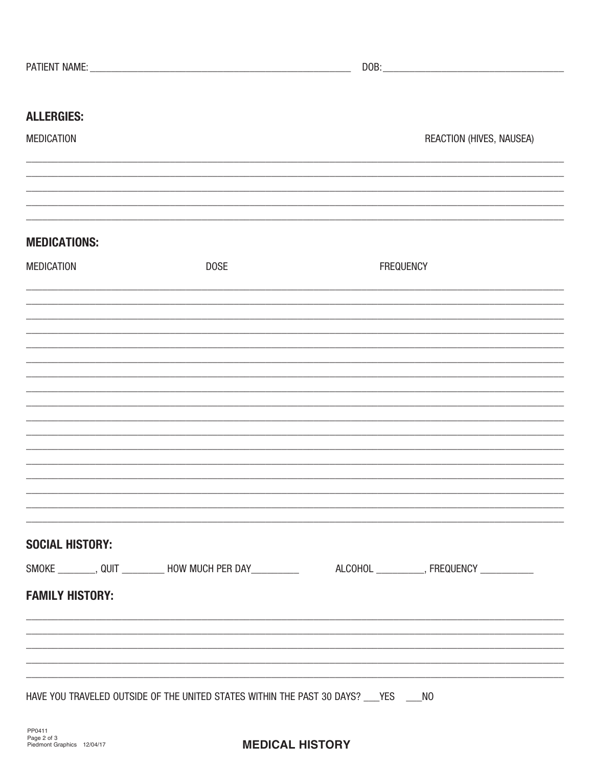| <b>ALLERGIES:</b>      |                                                                                         |                                                                                                                                                                      |
|------------------------|-----------------------------------------------------------------------------------------|----------------------------------------------------------------------------------------------------------------------------------------------------------------------|
| <b>MEDICATION</b>      |                                                                                         | REACTION (HIVES, NAUSEA)                                                                                                                                             |
|                        |                                                                                         |                                                                                                                                                                      |
|                        |                                                                                         |                                                                                                                                                                      |
| <b>MEDICATIONS:</b>    |                                                                                         |                                                                                                                                                                      |
|                        |                                                                                         |                                                                                                                                                                      |
| <b>MEDICATION</b>      | <b>DOSE</b>                                                                             | <b>FREQUENCY</b>                                                                                                                                                     |
|                        |                                                                                         |                                                                                                                                                                      |
|                        |                                                                                         |                                                                                                                                                                      |
|                        |                                                                                         |                                                                                                                                                                      |
|                        |                                                                                         |                                                                                                                                                                      |
|                        |                                                                                         |                                                                                                                                                                      |
|                        |                                                                                         |                                                                                                                                                                      |
|                        |                                                                                         |                                                                                                                                                                      |
|                        |                                                                                         |                                                                                                                                                                      |
|                        |                                                                                         |                                                                                                                                                                      |
|                        |                                                                                         |                                                                                                                                                                      |
|                        |                                                                                         |                                                                                                                                                                      |
| <b>SOCIAL HISTORY:</b> |                                                                                         |                                                                                                                                                                      |
|                        |                                                                                         | SMOKE ________, QUIT __________ HOW MUCH PER DAY ___________ ALCOHOL _________, FREQUENCY __________                                                                 |
| <b>FAMILY HISTORY:</b> |                                                                                         |                                                                                                                                                                      |
|                        |                                                                                         |                                                                                                                                                                      |
|                        |                                                                                         | ,我们就会在这里的,我们就会在这里的人,我们就会在这里的人,我们就会在这里的人,我们就会在这里的人,我们就会在这里的人,我们就会在这里的人,我们就会在这里的人,<br>第251章 我们的人,我们就会在这里的人,我们就会在这里的人,我们就会在这里的人,我们就会在这里的人,我们就会在这里的人,我们就会在这里的人,我们就会在这里的人 |
|                        |                                                                                         |                                                                                                                                                                      |
|                        | HAVE YOU TRAVELED OUTSIDE OF THE UNITED STATES WITHIN THE PAST 30 DAYS? ___ YES ____ NO |                                                                                                                                                                      |
|                        |                                                                                         |                                                                                                                                                                      |